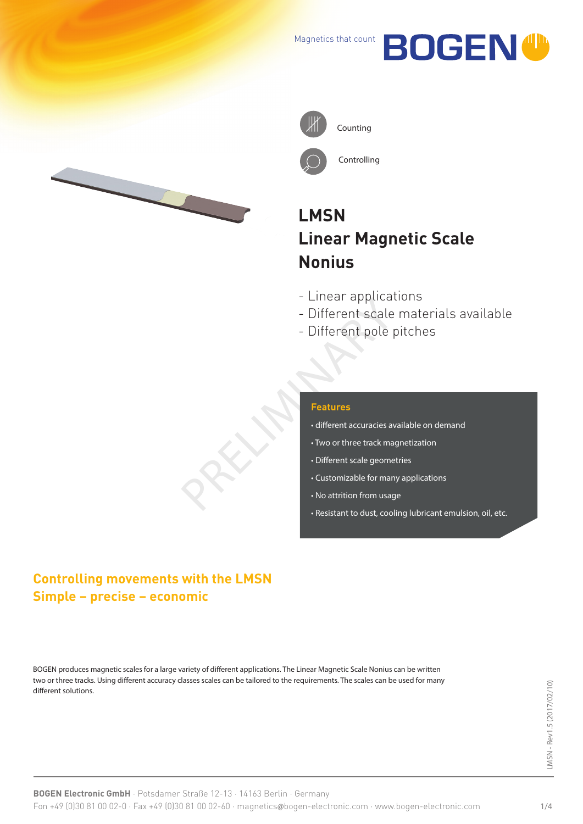Magnetics that count





Counting





Controlling

# **LMSN Linear Magnetic Scale Nonius**

- Linear applications
- Different scale materials available
- Lillear applied<br>- Different scale<br>- Different pole<br>- Context pole<br>- Customizable for man<br>- Customizable for man<br>- No attrition from usage - Different pole pitches

## **Features**

- different accuracies available on demand
- Two or three track magnetization
- Different scale geometries
- Customizable for many applications
- No attrition from usage
- Resistant to dust, cooling lubricant emulsion, oil, etc.

# **Controlling movements with the LMSN Simple – precise – economic**

BOGEN produces magnetic scales for a large variety of different applications. The Linear Magnetic Scale Nonius can be written two or three tracks. Using different accuracy classes scales can be tailored to the requirements. The scales can be used for many different solutions.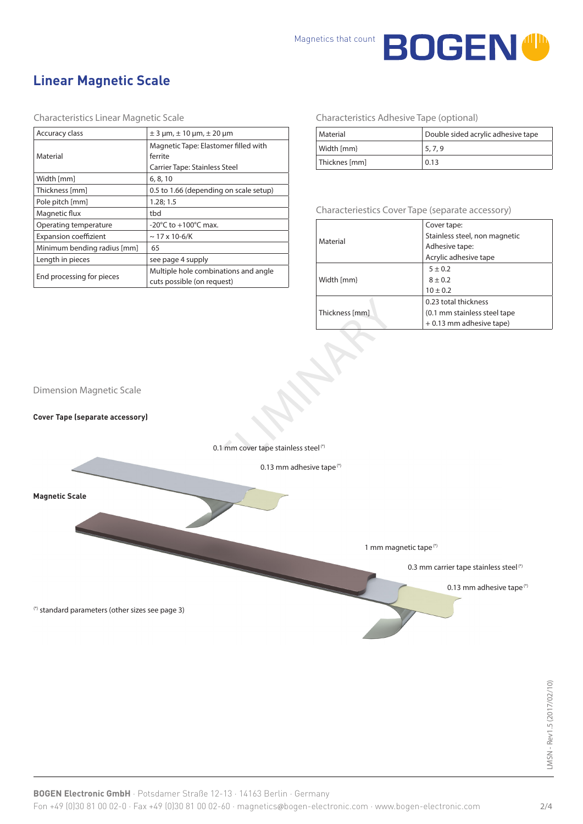

## **Linear Magnetic Scale**

| Accuracy class               | $\pm$ 3 µm, $\pm$ 10 µm, $\pm$ 20 µm     |  |
|------------------------------|------------------------------------------|--|
|                              | Magnetic Tape: Elastomer filled with     |  |
| Material                     | ferrite                                  |  |
|                              | Carrier Tape: Stainless Steel            |  |
| Width [mm]                   | 6, 8, 10                                 |  |
| Thickness [mm]               | 0.5 to 1.66 (depending on scale setup)   |  |
| Pole pitch [mm]              | 1.28; 1.5                                |  |
| Magnetic flux                | tbd                                      |  |
| Operating temperature        | -20 $\degree$ C to +100 $\degree$ C max. |  |
| <b>Expansion coeffizient</b> | $\sim$ 17 x 10-6/K                       |  |
| Minimum bending radius [mm]  | 65                                       |  |
| Length in pieces             | see page 4 supply                        |  |
|                              | Multiple hole combinations and angle     |  |
|                              | cuts possible (on request)               |  |
| End processing for pieces    |                                          |  |

Characteristics Adhesive Tape (optional)

|  | Material      | Double sided acrylic adhesive tape |
|--|---------------|------------------------------------|
|  | Width [mm}    | 5.7.9                              |
|  | Thicknes [mm] | 0.13                               |

Characteriestics Cover Tape (separate accessory)

| Material       | Cover tape:<br>Stainless steel, non magnetic<br>Adhesive tape:<br>Acrylic adhesive tape |
|----------------|-----------------------------------------------------------------------------------------|
| Width [mm}     | $5 \pm 0.2$<br>$8 \pm 0.2$<br>$10 \pm 0.2$                                              |
| Thickness [mm] | 0.23 total thickness<br>(0.1 mm stainless steel tape<br>+ 0.13 mm adhesive tape)        |

Dimension Magnetic Scale

#### **Cover Tape (separate accessory)**

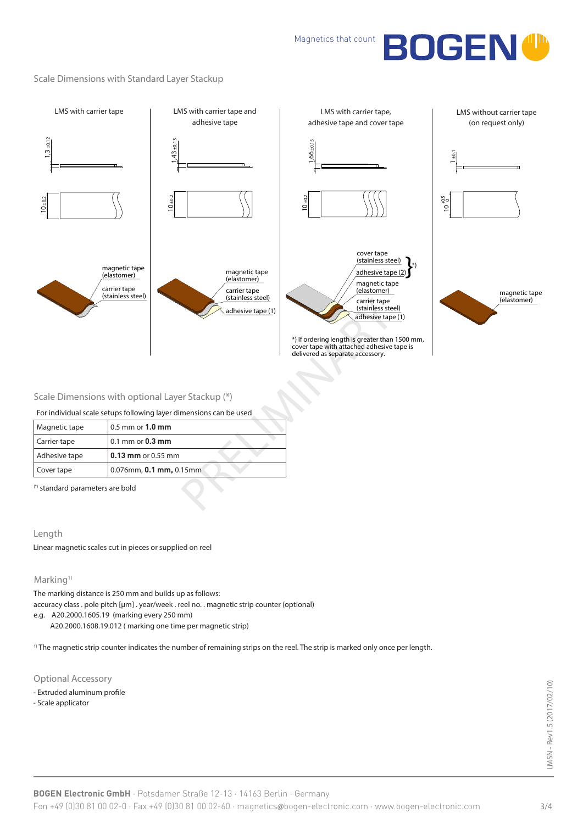**BOGEN** 

#### Scale Dimensions with Standard Layer Stackup





#### Scale Dimensions with optional Layer Stackup (\*)

#### For individual scale setups following layer dimensions can be used

| Magnetic tape | $0.5$ mm or $1.0$ mm    |
|---------------|-------------------------|
| Carrier tape  | $0.1$ mm or $0.3$ mm    |
| Adhesive tape | 0.13 mm or 0.55 mm      |
| Cover tape    | 0.076mm, 0.1 mm, 0.15mm |

(\*) standard parameters are bold

#### Length

Linear magnetic scales cut in pieces or supplied on reel

#### Marking<sup>1)</sup>

The marking distance is 250 mm and builds up as follows: accuracy class . pole pitch [µm] . year/week . reel no. . magnetic strip counter (optional) e.g. A20.2000.1605.19 (marking every 250 mm)

A20.2000.1608.19.012 ( marking one time per magnetic strip)

<sup>1)</sup> The magnetic strip counter indicates the number of remaining strips on the reel. The strip is marked only once per length.

Optional Accessory

- Extruded aluminum profile
- Scale applicator